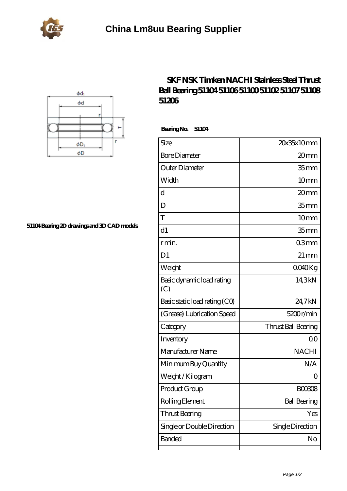



**[51104 Bearing 2D drawings and 3D CAD models](https://portalesinmobiliariosinternacionales.com/pic-667261.html)**

## **[SKF NSK Timken NACHI Stainless Steel Thrust](https://portalesinmobiliariosinternacionales.com/nachi-51104-bearing/) [Ball Bearing 51104 51106 51100 51102 51107 51108](https://portalesinmobiliariosinternacionales.com/nachi-51104-bearing/) [51206](https://portalesinmobiliariosinternacionales.com/nachi-51104-bearing/)**

 **Bearing No. 51104**

| Size                             | 20x35x10mm          |
|----------------------------------|---------------------|
| <b>Bore Diameter</b>             | 20mm                |
| Outer Diameter                   | 35 <sub>mm</sub>    |
| Width                            | 10mm                |
| d                                | 20mm                |
| D                                | 35 <sub>mm</sub>    |
| T                                | 10mm                |
| d1                               | 35 <sub>mm</sub>    |
| r min.                           | 03mm                |
| D <sub>1</sub>                   | $21 \,\mathrm{mm}$  |
| Weight                           | 0040Kg              |
| Basic dynamic load rating<br>(C) | 14.3kN              |
| Basic static load rating (CO)    | 24,7kN              |
| (Grease) Lubrication Speed       | 5200r/min           |
| Category                         | Thrust Ball Bearing |
| Inventory                        | 0 <sup>0</sup>      |
| Manufacturer Name                | <b>NACHI</b>        |
| Minimum Buy Quantity             | N/A                 |
| Weight /Kilogram                 |                     |
| Product Group                    | <b>BOO3O8</b>       |
| Rolling Element                  | <b>Ball Bearing</b> |
| Thrust Bearing                   | Yes                 |
| Single or Double Direction       | Single Direction    |
| Banded                           | No                  |
|                                  |                     |